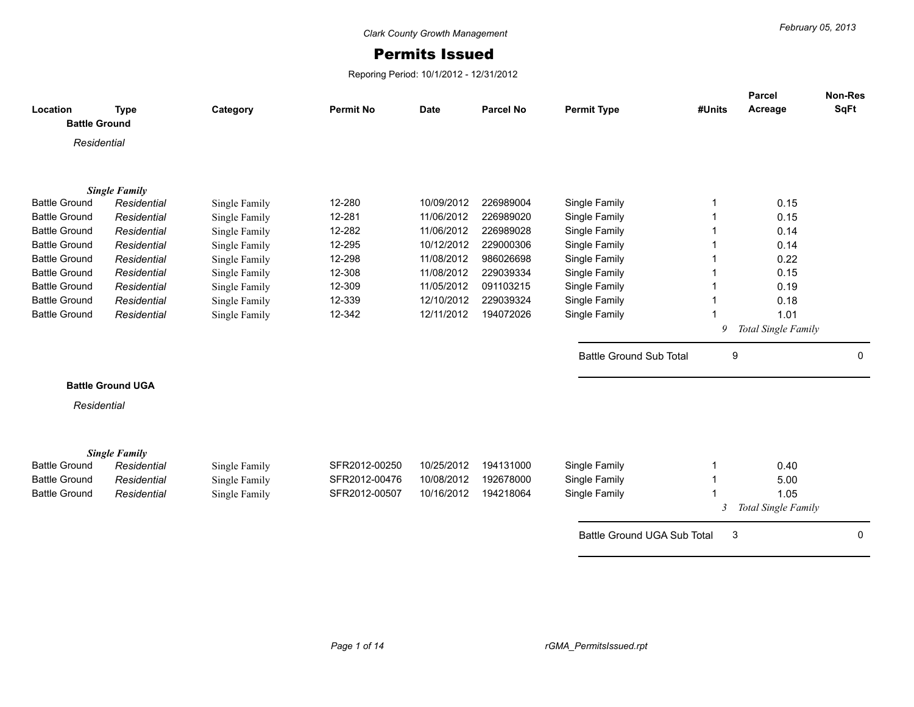## Permits Issued

Reporing Period: 10/1/2012 - 12/31/2012

|                                  |                          |               |                  |             |                  |                                |        | <b>Parcel</b>       | <b>Non-Res</b> |
|----------------------------------|--------------------------|---------------|------------------|-------------|------------------|--------------------------------|--------|---------------------|----------------|
| Location<br><b>Battle Ground</b> | <b>Type</b>              | Category      | <b>Permit No</b> | <b>Date</b> | <b>Parcel No</b> | <b>Permit Type</b>             | #Units | Acreage             | <b>SqFt</b>    |
|                                  |                          |               |                  |             |                  |                                |        |                     |                |
| Residential                      |                          |               |                  |             |                  |                                |        |                     |                |
|                                  |                          |               |                  |             |                  |                                |        |                     |                |
|                                  |                          |               |                  |             |                  |                                |        |                     |                |
|                                  | <b>Single Family</b>     |               |                  |             |                  |                                |        |                     |                |
| <b>Battle Ground</b>             | Residential              | Single Family | 12-280           | 10/09/2012  | 226989004        | Single Family                  |        | 0.15                |                |
| <b>Battle Ground</b>             | Residential              | Single Family | 12-281           | 11/06/2012  | 226989020        | Single Family                  |        | 0.15                |                |
| <b>Battle Ground</b>             | Residential              | Single Family | 12-282           | 11/06/2012  | 226989028        | Single Family                  |        | 0.14                |                |
| <b>Battle Ground</b>             | Residential              | Single Family | 12-295           | 10/12/2012  | 229000306        | Single Family                  |        | 0.14                |                |
| <b>Battle Ground</b>             | Residential              | Single Family | 12-298           | 11/08/2012  | 986026698        | Single Family                  |        | 0.22                |                |
| <b>Battle Ground</b>             | Residential              | Single Family | 12-308           | 11/08/2012  | 229039334        | Single Family                  |        | 0.15                |                |
| <b>Battle Ground</b>             | Residential              | Single Family | 12-309           | 11/05/2012  | 091103215        | Single Family                  |        | 0.19                |                |
| <b>Battle Ground</b>             | Residential              | Single Family | 12-339           | 12/10/2012  | 229039324        | Single Family                  |        | 0.18                |                |
| <b>Battle Ground</b>             | Residential              | Single Family | 12-342           | 12/11/2012  | 194072026        | Single Family                  |        | 1.01                |                |
|                                  |                          |               |                  |             |                  |                                | 9      | Total Single Family |                |
|                                  |                          |               |                  |             |                  | <b>Battle Ground Sub Total</b> | 9      |                     | 0              |
|                                  |                          |               |                  |             |                  |                                |        |                     |                |
|                                  | <b>Battle Ground UGA</b> |               |                  |             |                  |                                |        |                     |                |
| Residential                      |                          |               |                  |             |                  |                                |        |                     |                |
|                                  |                          |               |                  |             |                  |                                |        |                     |                |
|                                  |                          |               |                  |             |                  |                                |        |                     |                |
| <b>Battle Ground</b>             | <b>Single Family</b>     |               | SFR2012-00250    | 10/25/2012  | 194131000        |                                |        |                     |                |
|                                  | Residential              | Single Family |                  |             |                  | Single Family                  |        | 0.40                |                |
| <b>Battle Ground</b>             | Residential              | Single Family | SFR2012-00476    | 10/08/2012  | 192678000        | Single Family                  |        | 5.00                |                |
| <b>Battle Ground</b>             | Residential              | Single Family | SFR2012-00507    | 10/16/2012  | 194218064        | Single Family                  |        | 1.05                |                |
|                                  |                          |               |                  |             |                  |                                | 3      | Total Single Family |                |
|                                  |                          |               |                  |             |                  | Battle Ground UGA Sub Total    | 3      |                     | 0              |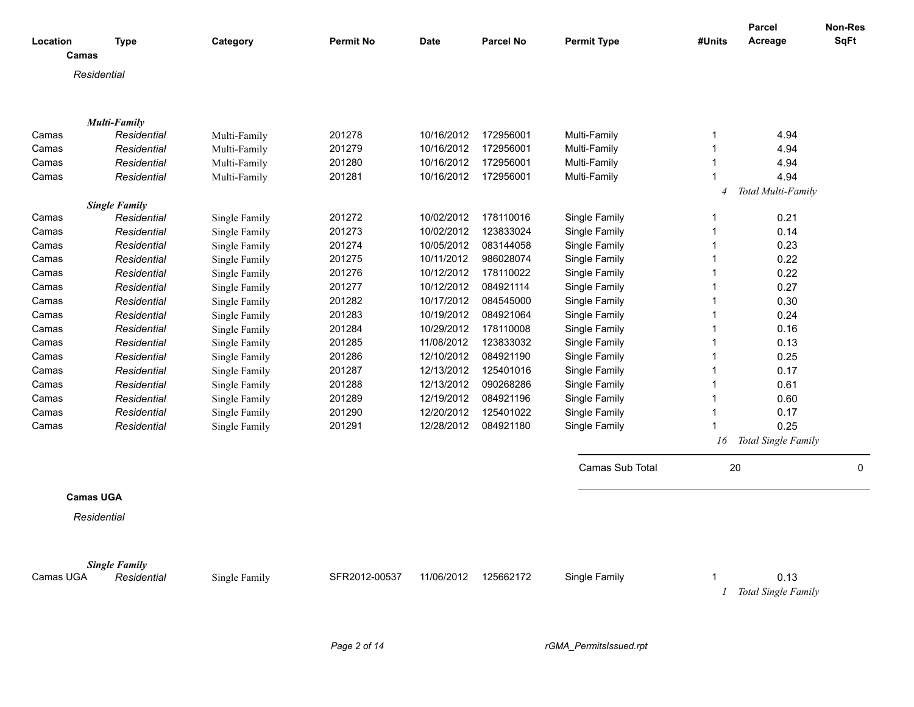|                  |                      |               |                  |             |                  |                    |                | <b>Parcel</b>       | <b>Non-Res</b> |
|------------------|----------------------|---------------|------------------|-------------|------------------|--------------------|----------------|---------------------|----------------|
| Location         | <b>Type</b>          | Category      | <b>Permit No</b> | <b>Date</b> | <b>Parcel No</b> | <b>Permit Type</b> | #Units         | Acreage             | <b>SqFt</b>    |
| Camas            |                      |               |                  |             |                  |                    |                |                     |                |
|                  | Residential          |               |                  |             |                  |                    |                |                     |                |
|                  |                      |               |                  |             |                  |                    |                |                     |                |
|                  |                      |               |                  |             |                  |                    |                |                     |                |
|                  | <b>Multi-Family</b>  |               |                  |             |                  |                    |                |                     |                |
| Camas            | Residential          | Multi-Family  | 201278           | 10/16/2012  | 172956001        | Multi-Family       | 1              | 4.94                |                |
| Camas            | Residential          | Multi-Family  | 201279           | 10/16/2012  | 172956001        | Multi-Family       | 1              | 4.94                |                |
| Camas            | Residential          | Multi-Family  | 201280           | 10/16/2012  | 172956001        | Multi-Family       | 1              | 4.94                |                |
| Camas            | Residential          | Multi-Family  | 201281           | 10/16/2012  | 172956001        | Multi-Family       |                | 4.94                |                |
|                  |                      |               |                  |             |                  |                    | $\overline{4}$ | Total Multi-Family  |                |
|                  | <b>Single Family</b> |               |                  |             |                  |                    |                |                     |                |
| Camas            | Residential          | Single Family | 201272           | 10/02/2012  | 178110016        | Single Family      | 1              | 0.21                |                |
| Camas            | Residential          | Single Family | 201273           | 10/02/2012  | 123833024        | Single Family      |                | 0.14                |                |
| Camas            | Residential          | Single Family | 201274           | 10/05/2012  | 083144058        | Single Family      | 1              | 0.23                |                |
| Camas            | Residential          | Single Family | 201275           | 10/11/2012  | 986028074        | Single Family      |                | 0.22                |                |
| Camas            | Residential          | Single Family | 201276           | 10/12/2012  | 178110022        | Single Family      | 1              | 0.22                |                |
| Camas            | Residential          | Single Family | 201277           | 10/12/2012  | 084921114        | Single Family      |                | 0.27                |                |
| Camas            | Residential          | Single Family | 201282           | 10/17/2012  | 084545000        | Single Family      | 1              | 0.30                |                |
| Camas            | Residential          | Single Family | 201283           | 10/19/2012  | 084921064        | Single Family      | 1              | 0.24                |                |
| Camas            | Residential          | Single Family | 201284           | 10/29/2012  | 178110008        | Single Family      |                | 0.16                |                |
| Camas            | Residential          | Single Family | 201285           | 11/08/2012  | 123833032        | Single Family      | 1              | 0.13                |                |
| Camas            | Residential          | Single Family | 201286           | 12/10/2012  | 084921190        | Single Family      |                | 0.25                |                |
| Camas            | Residential          | Single Family | 201287           | 12/13/2012  | 125401016        | Single Family      | 1              | 0.17                |                |
| Camas            | Residential          | Single Family | 201288           | 12/13/2012  | 090268286        | Single Family      | 1              | 0.61                |                |
| Camas            | Residential          | Single Family | 201289           | 12/19/2012  | 084921196        | Single Family      | 1              | 0.60                |                |
| Camas            | Residential          | Single Family | 201290           | 12/20/2012  | 125401022        | Single Family      | 1              | 0.17                |                |
| Camas            | Residential          | Single Family | 201291           | 12/28/2012  | 084921180        | Single Family      |                | 0.25                |                |
|                  |                      |               |                  |             |                  |                    | 16             | Total Single Family |                |
|                  |                      |               |                  |             |                  | Camas Sub Total    | 20             |                     | $\mathbf 0$    |
|                  |                      |               |                  |             |                  |                    |                |                     |                |
| <b>Camas UGA</b> |                      |               |                  |             |                  |                    |                |                     |                |
|                  | Residential          |               |                  |             |                  |                    |                |                     |                |
|                  |                      |               |                  |             |                  |                    |                |                     |                |
|                  | <b>Single Family</b> |               |                  |             |                  |                    |                |                     |                |
| Camas UGA        | Residential          | Single Family | SFR2012-00537    | 11/06/2012  | 125662172        | Single Family      |                | 0.13                |                |
|                  |                      |               |                  |             |                  |                    |                | Total Single Family |                |
|                  |                      |               |                  |             |                  |                    |                |                     |                |

*Page 2 of 14 rGMA\_PermitsIssued.rpt*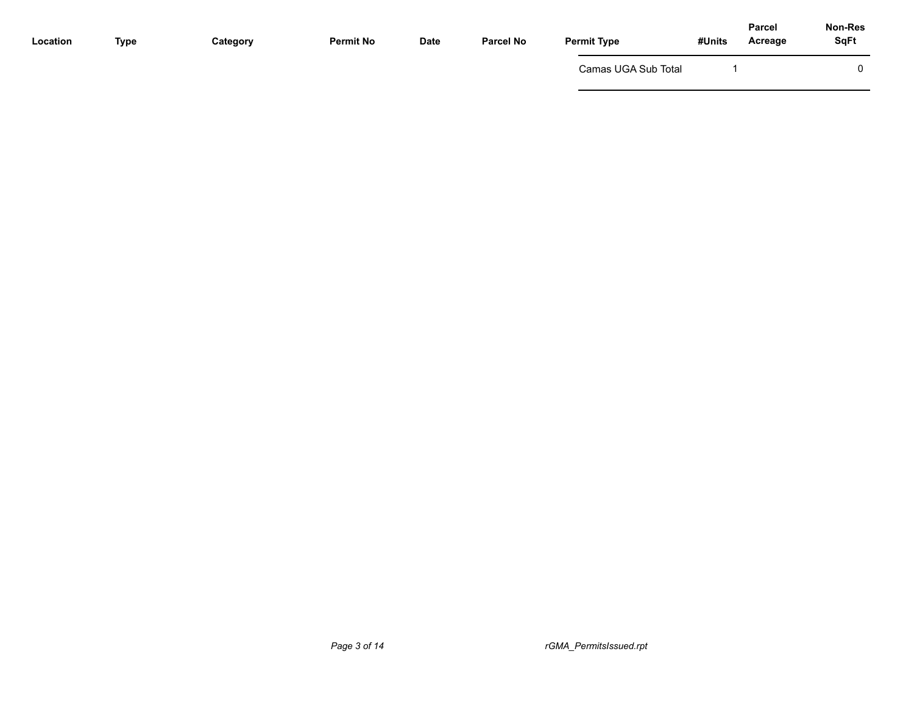| Location | <b>Type</b> | Category | <b>Permit No</b> | Date | <b>Parcel No</b> | <b>Permit Type</b>  | Parcel<br>#Units<br>Acreage | Non-Res<br><b>SqFt</b> |
|----------|-------------|----------|------------------|------|------------------|---------------------|-----------------------------|------------------------|
|          |             |          |                  |      |                  | Camas UGA Sub Total |                             | $\Omega$               |
|          |             |          |                  |      |                  |                     |                             |                        |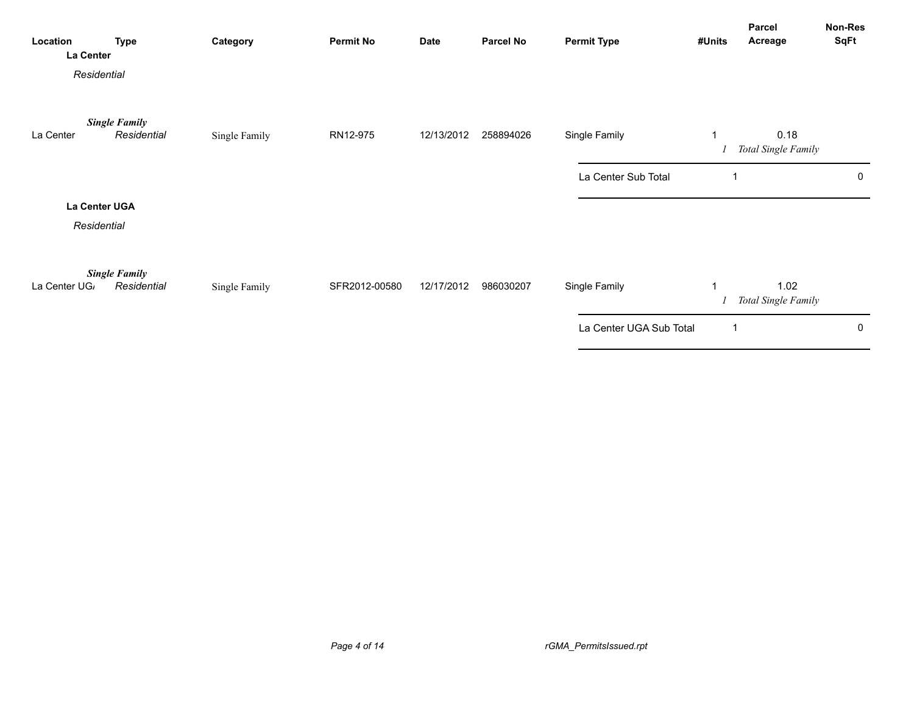| Location<br>La Center<br>Residential | <b>Type</b>                         | Category      | <b>Permit No</b> | <b>Date</b> | <b>Parcel No</b> | <b>Permit Type</b>      | #Units         | Parcel<br>Acreage           | Non-Res<br><b>SqFt</b> |
|--------------------------------------|-------------------------------------|---------------|------------------|-------------|------------------|-------------------------|----------------|-----------------------------|------------------------|
| La Center                            | <b>Single Family</b><br>Residential | Single Family | RN12-975         | 12/13/2012  | 258894026        | Single Family           | $\mathbf 1$    | 0.18<br>Total Single Family |                        |
|                                      |                                     |               |                  |             |                  | La Center Sub Total     |                |                             | 0                      |
| La Center UGA<br>Residential         |                                     |               |                  |             |                  |                         |                |                             |                        |
| La Center UG,                        | <b>Single Family</b><br>Residential | Single Family | SFR2012-00580    | 12/17/2012  | 986030207        | Single Family           | $\overline{1}$ | 1.02<br>Total Single Family |                        |
|                                      |                                     |               |                  |             |                  | La Center UGA Sub Total | 1              |                             | 0                      |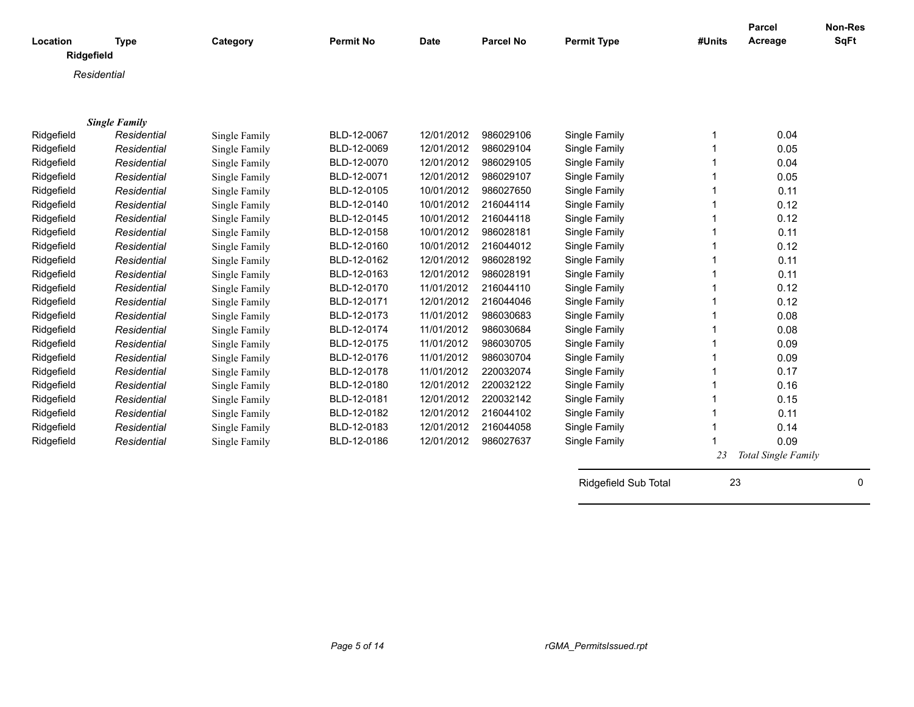| Location<br>Ridgefield   | <b>Type</b>                         | Category      | <b>Permit No</b> | <b>Date</b> | <b>Parcel No</b>       | <b>Permit Type</b>             | #Units | Parcel<br>Acreage   | <b>Non-Res</b><br><b>SqFt</b> |
|--------------------------|-------------------------------------|---------------|------------------|-------------|------------------------|--------------------------------|--------|---------------------|-------------------------------|
|                          | Residential                         |               |                  |             |                        |                                |        |                     |                               |
|                          |                                     |               |                  |             |                        |                                |        |                     |                               |
|                          |                                     |               |                  |             |                        |                                |        |                     |                               |
|                          | <b>Single Family</b><br>Residential |               | BLD-12-0067      | 12/01/2012  | 986029106              |                                |        | 0.04                |                               |
| Ridgefield               | Residential                         | Single Family | BLD-12-0069      | 12/01/2012  | 986029104              | Single Family                  |        | 0.05                |                               |
| Ridgefield               |                                     | Single Family | BLD-12-0070      | 12/01/2012  | 986029105              | Single Family                  |        | 0.04                |                               |
| Ridgefield<br>Ridgefield | Residential<br>Residential          | Single Family | BLD-12-0071      | 12/01/2012  | 986029107              | Single Family<br>Single Family |        | 0.05                |                               |
| Ridgefield               | Residential                         | Single Family | BLD-12-0105      | 10/01/2012  | 986027650              | Single Family                  |        | 0.11                |                               |
| Ridgefield               | Residential                         | Single Family | BLD-12-0140      | 10/01/2012  | 216044114              | Single Family                  |        | 0.12                |                               |
|                          |                                     | Single Family | BLD-12-0145      | 10/01/2012  | 216044118              |                                |        | 0.12                |                               |
| Ridgefield<br>Ridgefield | Residential<br>Residential          | Single Family | BLD-12-0158      | 10/01/2012  | 986028181              | Single Family                  |        | 0.11                |                               |
|                          | Residential                         | Single Family | BLD-12-0160      | 10/01/2012  | 216044012              | Single Family                  |        | 0.12                |                               |
| Ridgefield               | Residential                         | Single Family | BLD-12-0162      | 12/01/2012  | 986028192              | Single Family<br>Single Family |        | 0.11                |                               |
| Ridgefield<br>Ridgefield | Residential                         | Single Family | BLD-12-0163      | 12/01/2012  | 986028191              | Single Family                  |        | 0.11                |                               |
|                          | Residential                         | Single Family | BLD-12-0170      | 11/01/2012  | 216044110              | Single Family                  |        | 0.12                |                               |
| Ridgefield<br>Ridgefield |                                     | Single Family | BLD-12-0171      | 12/01/2012  | 216044046              | Single Family                  |        | 0.12                |                               |
|                          | Residential                         | Single Family | BLD-12-0173      | 11/01/2012  | 986030683              |                                |        |                     |                               |
| Ridgefield               | Residential                         | Single Family | BLD-12-0174      | 11/01/2012  | 986030684              | Single Family                  |        | 0.08                |                               |
| Ridgefield               | Residential                         | Single Family |                  |             |                        | Single Family                  |        | 0.08                |                               |
| Ridgefield               | Residential                         | Single Family | BLD-12-0175      | 11/01/2012  | 986030705              | Single Family                  |        | 0.09                |                               |
| Ridgefield               | Residential                         | Single Family | BLD-12-0176      | 11/01/2012  | 986030704<br>220032074 | Single Family                  |        | 0.09<br>0.17        |                               |
| Ridgefield               | Residential                         | Single Family | BLD-12-0178      | 11/01/2012  | 220032122              | Single Family                  |        |                     |                               |
| Ridgefield               | Residential                         | Single Family | BLD-12-0180      | 12/01/2012  |                        | Single Family                  |        | 0.16                |                               |
| Ridgefield               | Residential                         | Single Family | BLD-12-0181      | 12/01/2012  | 220032142              | Single Family                  |        | 0.15                |                               |
| Ridgefield               | Residential                         | Single Family | BLD-12-0182      | 12/01/2012  | 216044102              | Single Family                  |        | 0.11                |                               |
| Ridgefield               | Residential                         | Single Family | BLD-12-0183      | 12/01/2012  | 216044058              | Single Family                  |        | 0.14                |                               |
| Ridgefield               | Residential                         | Single Family | BLD-12-0186      | 12/01/2012  | 986027637              | Single Family                  |        | 0.09                |                               |
|                          |                                     |               |                  |             |                        |                                | 23     | Total Single Family |                               |
|                          |                                     |               |                  |             |                        | Ridgefield Sub Total           | 23     |                     | 0                             |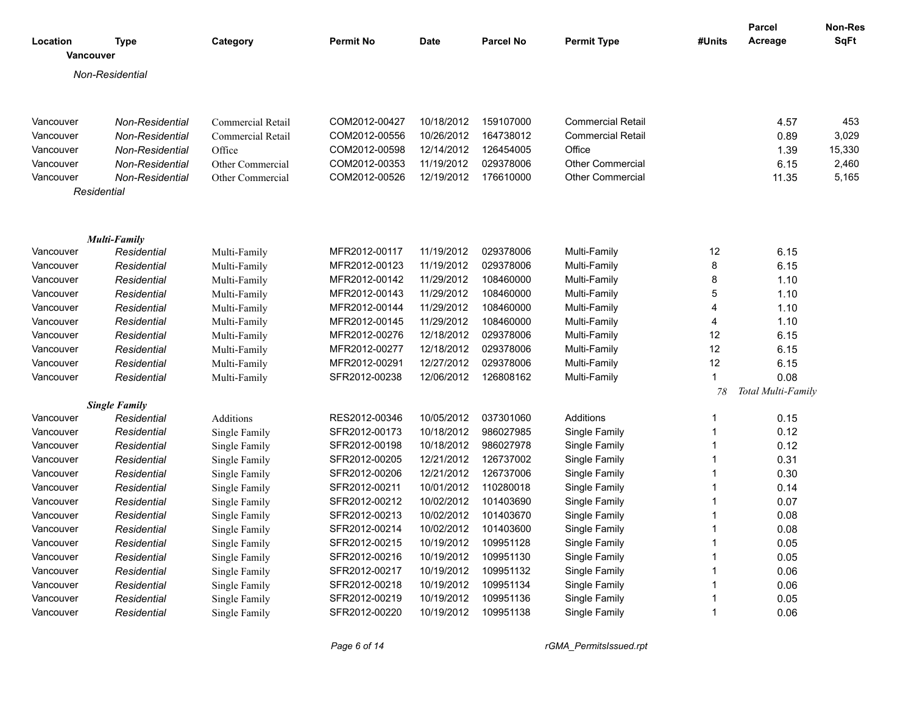| Location<br><b>Vancouver</b> | Type                   | Category                 | <b>Permit No</b> | <b>Date</b> | <b>Parcel No</b> | <b>Permit Type</b>       | #Units       | <b>Parcel</b><br>Acreage | Non-Res<br><b>SqFt</b> |
|------------------------------|------------------------|--------------------------|------------------|-------------|------------------|--------------------------|--------------|--------------------------|------------------------|
|                              |                        |                          |                  |             |                  |                          |              |                          |                        |
|                              | Non-Residential        |                          |                  |             |                  |                          |              |                          |                        |
|                              |                        |                          |                  |             |                  |                          |              |                          |                        |
| Vancouver                    | Non-Residential        | Commercial Retail        | COM2012-00427    | 10/18/2012  | 159107000        | <b>Commercial Retail</b> |              | 4.57                     | 453                    |
| Vancouver                    | Non-Residential        | <b>Commercial Retail</b> | COM2012-00556    | 10/26/2012  | 164738012        | <b>Commercial Retail</b> |              | 0.89                     | 3,029                  |
| Vancouver                    | Non-Residential        | Office                   | COM2012-00598    | 12/14/2012  | 126454005        | Office                   |              | 1.39                     | 15,330                 |
| Vancouver                    | <b>Non-Residential</b> | Other Commercial         | COM2012-00353    | 11/19/2012  | 029378006        | <b>Other Commercial</b>  |              | 6.15                     | 2,460                  |
| Vancouver                    | Non-Residential        | Other Commercial         | COM2012-00526    | 12/19/2012  | 176610000        | <b>Other Commercial</b>  |              | 11.35                    | 5,165                  |
|                              | Residential            |                          |                  |             |                  |                          |              |                          |                        |
|                              |                        |                          |                  |             |                  |                          |              |                          |                        |
|                              | <b>Multi-Family</b>    |                          |                  |             |                  |                          |              |                          |                        |
| Vancouver                    | Residential            | Multi-Family             | MFR2012-00117    | 11/19/2012  | 029378006        | Multi-Family             | 12           | 6.15                     |                        |
| Vancouver                    | Residential            | Multi-Family             | MFR2012-00123    | 11/19/2012  | 029378006        | Multi-Family             | 8            | 6.15                     |                        |
| Vancouver                    | Residential            | Multi-Family             | MFR2012-00142    | 11/29/2012  | 108460000        | Multi-Family             | 8            | 1.10                     |                        |
| Vancouver                    | Residential            | Multi-Family             | MFR2012-00143    | 11/29/2012  | 108460000        | Multi-Family             | 5            | 1.10                     |                        |
| Vancouver                    | Residential            | Multi-Family             | MFR2012-00144    | 11/29/2012  | 108460000        | Multi-Family             | 4            | 1.10                     |                        |
| Vancouver                    | Residential            | Multi-Family             | MFR2012-00145    | 11/29/2012  | 108460000        | Multi-Family             | 4            | 1.10                     |                        |
| Vancouver                    | Residential            | Multi-Family             | MFR2012-00276    | 12/18/2012  | 029378006        | Multi-Family             | 12           | 6.15                     |                        |
| Vancouver                    | Residential            | Multi-Family             | MFR2012-00277    | 12/18/2012  | 029378006        | Multi-Family             | 12           | 6.15                     |                        |
| Vancouver                    | Residential            | Multi-Family             | MFR2012-00291    | 12/27/2012  | 029378006        | Multi-Family             | 12           | 6.15                     |                        |
| Vancouver                    | Residential            | Multi-Family             | SFR2012-00238    | 12/06/2012  | 126808162        | Multi-Family             | 1            | 0.08                     |                        |
|                              |                        |                          |                  |             |                  |                          | 78           | Total Multi-Family       |                        |
|                              | <b>Single Family</b>   |                          |                  |             |                  |                          |              |                          |                        |
| Vancouver                    | Residential            | Additions                | RES2012-00346    | 10/05/2012  | 037301060        | Additions                | 1            | 0.15                     |                        |
| Vancouver                    | Residential            | Single Family            | SFR2012-00173    | 10/18/2012  | 986027985        | Single Family            | $\mathbf{1}$ | 0.12                     |                        |
| Vancouver                    | Residential            | Single Family            | SFR2012-00198    | 10/18/2012  | 986027978        | Single Family            | $\mathbf{1}$ | 0.12                     |                        |
| Vancouver                    | Residential            | Single Family            | SFR2012-00205    | 12/21/2012  | 126737002        | Single Family            | $\mathbf{1}$ | 0.31                     |                        |
| Vancouver                    | Residential            | Single Family            | SFR2012-00206    | 12/21/2012  | 126737006        | Single Family            | $\mathbf{1}$ | 0.30                     |                        |
| Vancouver                    | Residential            | Single Family            | SFR2012-00211    | 10/01/2012  | 110280018        | Single Family            | $\mathbf{1}$ | 0.14                     |                        |
| Vancouver                    | Residential            | Single Family            | SFR2012-00212    | 10/02/2012  | 101403690        | Single Family            | 1            | 0.07                     |                        |
| Vancouver                    | Residential            | Single Family            | SFR2012-00213    | 10/02/2012  | 101403670        | Single Family            | $\mathbf{1}$ | 0.08                     |                        |
| Vancouver                    | Residential            | Single Family            | SFR2012-00214    | 10/02/2012  | 101403600        | Single Family            | $\mathbf{1}$ | 0.08                     |                        |
| Vancouver                    | Residential            | Single Family            | SFR2012-00215    | 10/19/2012  | 109951128        | Single Family            | $\mathbf{1}$ | 0.05                     |                        |
| Vancouver                    | Residential            | Single Family            | SFR2012-00216    | 10/19/2012  | 109951130        | Single Family            | $\mathbf{1}$ | 0.05                     |                        |
| Vancouver                    | Residential            | Single Family            | SFR2012-00217    | 10/19/2012  | 109951132        | Single Family            | $\mathbf{1}$ | 0.06                     |                        |
| Vancouver                    | Residential            | Single Family            | SFR2012-00218    | 10/19/2012  | 109951134        | Single Family            | $\mathbf{1}$ | 0.06                     |                        |
| Vancouver                    | Residential            | Single Family            | SFR2012-00219    | 10/19/2012  | 109951136        | Single Family            | 1            | 0.05                     |                        |
| Vancouver                    | Residential            | Single Family            | SFR2012-00220    | 10/19/2012  | 109951138        | Single Family            | $\mathbf{1}$ | 0.06                     |                        |

*Page 6 of 14 rGMA\_PermitsIssued.rpt*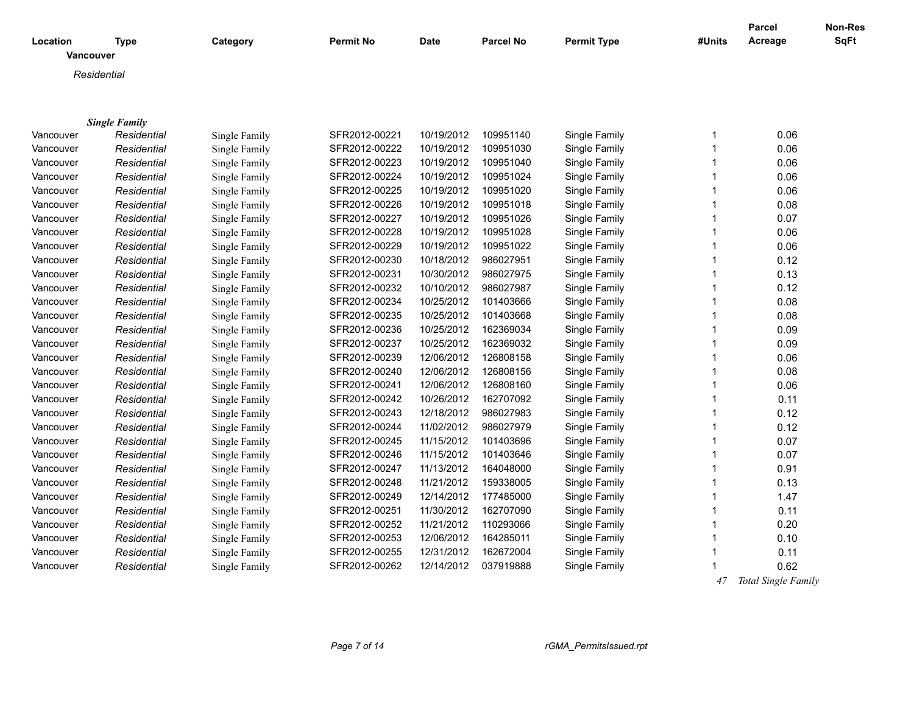| Location<br>Vancouver | <b>Type</b>          | Category      | <b>Permit No</b>               | Date       | <b>Parcel No</b> | <b>Permit Type</b> | #Units       | <b>Parcel</b><br>Acreage | Non-Res<br><b>SqFt</b> |
|-----------------------|----------------------|---------------|--------------------------------|------------|------------------|--------------------|--------------|--------------------------|------------------------|
|                       |                      |               |                                |            |                  |                    |              |                          |                        |
|                       | Residential          |               |                                |            |                  |                    |              |                          |                        |
|                       |                      |               |                                |            |                  |                    |              |                          |                        |
|                       |                      |               |                                |            |                  |                    |              |                          |                        |
|                       | <b>Single Family</b> |               |                                | 10/19/2012 | 109951140        |                    | $\mathbf{1}$ | 0.06                     |                        |
| Vancouver             | Residential          | Single Family | SFR2012-00221<br>SFR2012-00222 | 10/19/2012 | 109951030        | Single Family      | 1            | 0.06                     |                        |
| Vancouver             | Residential          | Single Family |                                |            |                  | Single Family      | $\mathbf{1}$ |                          |                        |
| Vancouver             | Residential          | Single Family | SFR2012-00223                  | 10/19/2012 | 109951040        | Single Family      |              | 0.06                     |                        |
| Vancouver             | Residential          | Single Family | SFR2012-00224                  | 10/19/2012 | 109951024        | Single Family      | 1            | 0.06                     |                        |
| Vancouver             | Residential          | Single Family | SFR2012-00225                  | 10/19/2012 | 109951020        | Single Family      | 1            | 0.06                     |                        |
| Vancouver             | Residential          | Single Family | SFR2012-00226                  | 10/19/2012 | 109951018        | Single Family      | $\mathbf{1}$ | 0.08                     |                        |
| Vancouver             | Residential          | Single Family | SFR2012-00227                  | 10/19/2012 | 109951026        | Single Family      | $\mathbf{1}$ | 0.07                     |                        |
| Vancouver             | Residential          | Single Family | SFR2012-00228                  | 10/19/2012 | 109951028        | Single Family      | $\mathbf{1}$ | 0.06                     |                        |
| Vancouver             | Residential          | Single Family | SFR2012-00229                  | 10/19/2012 | 109951022        | Single Family      | $\mathbf{1}$ | 0.06                     |                        |
| Vancouver             | Residential          | Single Family | SFR2012-00230                  | 10/18/2012 | 986027951        | Single Family      | 1            | 0.12                     |                        |
| Vancouver             | Residential          | Single Family | SFR2012-00231                  | 10/30/2012 | 986027975        | Single Family      | $\mathbf{1}$ | 0.13                     |                        |
| Vancouver             | Residential          | Single Family | SFR2012-00232                  | 10/10/2012 | 986027987        | Single Family      | 1            | 0.12                     |                        |
| Vancouver             | Residential          | Single Family | SFR2012-00234                  | 10/25/2012 | 101403666        | Single Family      | $\mathbf{1}$ | 0.08                     |                        |
| Vancouver             | Residential          | Single Family | SFR2012-00235                  | 10/25/2012 | 101403668        | Single Family      | $\mathbf{1}$ | 0.08                     |                        |
| Vancouver             | Residential          | Single Family | SFR2012-00236                  | 10/25/2012 | 162369034        | Single Family      | 1            | 0.09                     |                        |
| Vancouver             | Residential          | Single Family | SFR2012-00237                  | 10/25/2012 | 162369032        | Single Family      | $\mathbf{1}$ | 0.09                     |                        |
| Vancouver             | Residential          | Single Family | SFR2012-00239                  | 12/06/2012 | 126808158        | Single Family      | $\mathbf{1}$ | 0.06                     |                        |
| Vancouver             | Residential          | Single Family | SFR2012-00240                  | 12/06/2012 | 126808156        | Single Family      | $\mathbf{1}$ | 0.08                     |                        |
| Vancouver             | Residential          | Single Family | SFR2012-00241                  | 12/06/2012 | 126808160        | Single Family      | $\mathbf{1}$ | 0.06                     |                        |
| Vancouver             | Residential          | Single Family | SFR2012-00242                  | 10/26/2012 | 162707092        | Single Family      | $\mathbf{1}$ | 0.11                     |                        |
| Vancouver             | Residential          | Single Family | SFR2012-00243                  | 12/18/2012 | 986027983        | Single Family      | 1            | 0.12                     |                        |
| Vancouver             | Residential          | Single Family | SFR2012-00244                  | 11/02/2012 | 986027979        | Single Family      | 1            | 0.12                     |                        |
| Vancouver             | Residential          | Single Family | SFR2012-00245                  | 11/15/2012 | 101403696        | Single Family      | $\mathbf{1}$ | 0.07                     |                        |
| Vancouver             | Residential          | Single Family | SFR2012-00246                  | 11/15/2012 | 101403646        | Single Family      | 1            | 0.07                     |                        |
| Vancouver             | Residential          | Single Family | SFR2012-00247                  | 11/13/2012 | 164048000        | Single Family      | $\mathbf{1}$ | 0.91                     |                        |
| Vancouver             | Residential          | Single Family | SFR2012-00248                  | 11/21/2012 | 159338005        | Single Family      | $\mathbf{1}$ | 0.13                     |                        |
| Vancouver             | Residential          | Single Family | SFR2012-00249                  | 12/14/2012 | 177485000        | Single Family      | $\mathbf{1}$ | 1.47                     |                        |
| Vancouver             | Residential          | Single Family | SFR2012-00251                  | 11/30/2012 | 162707090        | Single Family      | 1            | 0.11                     |                        |
| Vancouver             | Residential          | Single Family | SFR2012-00252                  | 11/21/2012 | 110293066        | Single Family      | $\mathbf{1}$ | 0.20                     |                        |
| Vancouver             | Residential          | Single Family | SFR2012-00253                  | 12/06/2012 | 164285011        | Single Family      | $\mathbf{1}$ | 0.10                     |                        |
| Vancouver             | Residential          | Single Family | SFR2012-00255                  | 12/31/2012 | 162672004        | Single Family      | $\mathbf{1}$ | 0.11                     |                        |
| Vancouver             | Residential          | Single Family | SFR2012-00262                  | 12/14/2012 | 037919888        | Single Family      |              | 0.62                     |                        |
|                       |                      |               |                                |            |                  |                    | 47           | Total Single Family      |                        |
|                       |                      |               |                                |            |                  |                    |              |                          |                        |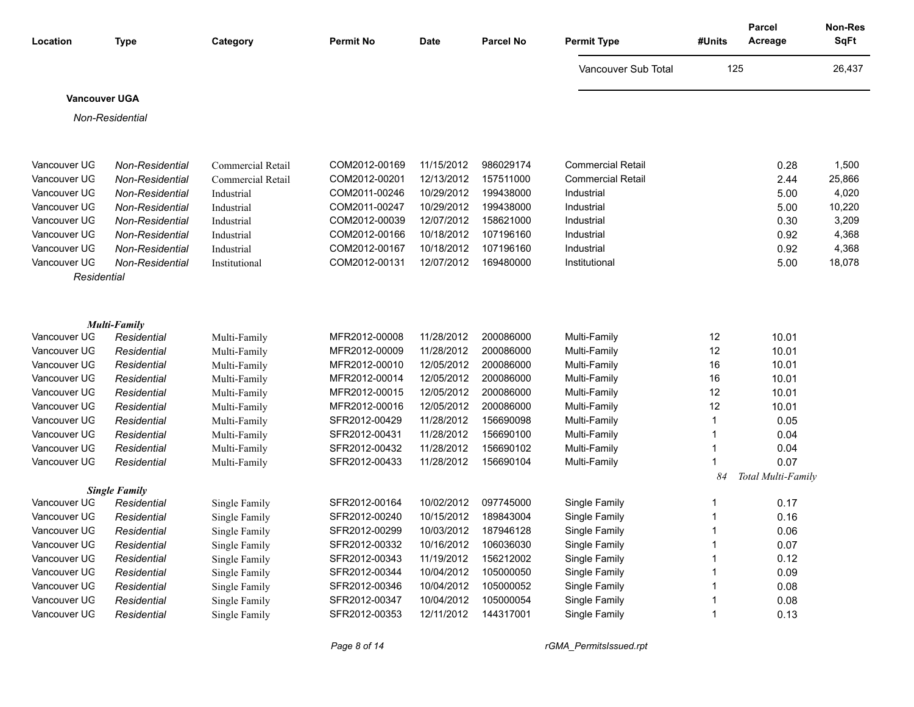| Location                     | <b>Type</b>                        | Category                 | <b>Permit No</b>               | <b>Date</b>              | <b>Parcel No</b>       | <b>Permit Type</b>       | #Units | Parcel<br>Acreage  | <b>Non-Res</b><br><b>SqFt</b> |
|------------------------------|------------------------------------|--------------------------|--------------------------------|--------------------------|------------------------|--------------------------|--------|--------------------|-------------------------------|
|                              |                                    |                          |                                |                          |                        | Vancouver Sub Total      | 125    |                    | 26,437                        |
| <b>Vancouver UGA</b>         |                                    |                          |                                |                          |                        |                          |        |                    |                               |
|                              | Non-Residential                    |                          |                                |                          |                        |                          |        |                    |                               |
|                              |                                    |                          |                                |                          |                        |                          |        |                    |                               |
|                              |                                    |                          |                                |                          |                        |                          |        |                    |                               |
| Vancouver UG                 | Non-Residential                    | Commercial Retail        | COM2012-00169                  | 11/15/2012<br>12/13/2012 | 986029174              | <b>Commercial Retail</b> |        | 0.28               | 1,500                         |
| Vancouver UG                 | Non-Residential                    | Commercial Retail        | COM2012-00201                  |                          | 157511000              | <b>Commercial Retail</b> |        | 2.44               | 25,866                        |
| Vancouver UG<br>Vancouver UG | Non-Residential                    | Industrial               | COM2011-00246<br>COM2011-00247 | 10/29/2012               | 199438000<br>199438000 | Industrial               |        | 5.00               | 4,020                         |
| Vancouver UG                 | Non-Residential<br>Non-Residential | Industrial<br>Industrial | COM2012-00039                  | 10/29/2012<br>12/07/2012 | 158621000              | Industrial<br>Industrial |        | 5.00<br>0.30       | 10,220<br>3,209               |
| Vancouver UG                 | Non-Residential                    | Industrial               | COM2012-00166                  | 10/18/2012               | 107196160              | Industrial               |        | 0.92               | 4,368                         |
| Vancouver UG                 | Non-Residential                    | Industrial               | COM2012-00167                  | 10/18/2012               | 107196160              | Industrial               |        | 0.92               | 4,368                         |
| Vancouver UG                 | Non-Residential                    | Institutional            | COM2012-00131                  | 12/07/2012               | 169480000              | Institutional            |        | 5.00               | 18,078                        |
| Residential                  |                                    |                          |                                |                          |                        |                          |        |                    |                               |
|                              |                                    |                          |                                |                          |                        |                          |        |                    |                               |
|                              |                                    |                          |                                |                          |                        |                          |        |                    |                               |
|                              | Multi-Family                       |                          |                                |                          |                        |                          |        |                    |                               |
| Vancouver UG                 | Residential                        | Multi-Family             | MFR2012-00008                  | 11/28/2012               | 200086000              | Multi-Family             | 12     | 10.01              |                               |
| Vancouver UG                 | Residential                        | Multi-Family             | MFR2012-00009                  | 11/28/2012               | 200086000              | Multi-Family             | 12     | 10.01              |                               |
| Vancouver UG                 | Residential                        | Multi-Family             | MFR2012-00010                  | 12/05/2012               | 200086000              | Multi-Family             | 16     | 10.01              |                               |
| Vancouver UG                 | Residential                        | Multi-Family             | MFR2012-00014                  | 12/05/2012               | 200086000              | Multi-Family             | 16     | 10.01              |                               |
| Vancouver UG                 | Residential                        | Multi-Family             | MFR2012-00015                  | 12/05/2012               | 200086000              | Multi-Family             | 12     | 10.01              |                               |
| Vancouver UG                 | Residential                        | Multi-Family             | MFR2012-00016                  | 12/05/2012               | 200086000              | Multi-Family             | 12     | 10.01              |                               |
| Vancouver UG                 | Residential                        | Multi-Family             | SFR2012-00429                  | 11/28/2012               | 156690098              | Multi-Family             | 1      | 0.05               |                               |
| Vancouver UG                 | Residential                        | Multi-Family             | SFR2012-00431                  | 11/28/2012               | 156690100              | Multi-Family             | 1      | 0.04               |                               |
| Vancouver UG                 | Residential                        | Multi-Family             | SFR2012-00432                  | 11/28/2012               | 156690102              | Multi-Family             | 1      | 0.04               |                               |
| Vancouver UG                 | Residential                        | Multi-Family             | SFR2012-00433                  | 11/28/2012               | 156690104              | Multi-Family             |        | 0.07               |                               |
|                              |                                    |                          |                                |                          |                        |                          | 84     | Total Multi-Family |                               |
|                              | <b>Single Family</b>               |                          |                                |                          |                        |                          |        |                    |                               |
| Vancouver UG                 | Residential                        | Single Family            | SFR2012-00164                  | 10/02/2012               | 097745000              | Single Family            | 1      | 0.17               |                               |
| Vancouver UG                 | Residential                        | Single Family            | SFR2012-00240                  | 10/15/2012               | 189843004              | Single Family            | 1      | 0.16               |                               |
| Vancouver UG                 | Residential                        | Single Family            | SFR2012-00299                  | 10/03/2012               | 187946128              | Single Family            |        | 0.06               |                               |
| Vancouver UG                 | Residential                        | Single Family            | SFR2012-00332                  | 10/16/2012               | 106036030              | Single Family            |        | 0.07               |                               |
| Vancouver UG                 | Residential                        | Single Family            | SFR2012-00343                  | 11/19/2012               | 156212002              | Single Family            |        | 0.12               |                               |
| Vancouver UG                 | Residential                        | Single Family            | SFR2012-00344                  | 10/04/2012               | 105000050              | Single Family            |        | 0.09               |                               |
| Vancouver UG                 | Residential                        | Single Family            | SFR2012-00346                  | 10/04/2012               | 105000052              | Single Family            |        | 0.08               |                               |
| Vancouver UG                 | Residential                        | Single Family            | SFR2012-00347                  | 10/04/2012               | 105000054              | Single Family            |        | 0.08               |                               |
| Vancouver UG                 | Residential                        | Single Family            | SFR2012-00353                  | 12/11/2012               | 144317001              | Single Family            | 1      | 0.13               |                               |

*Page 8 of 14 rGMA\_PermitsIssued.rpt*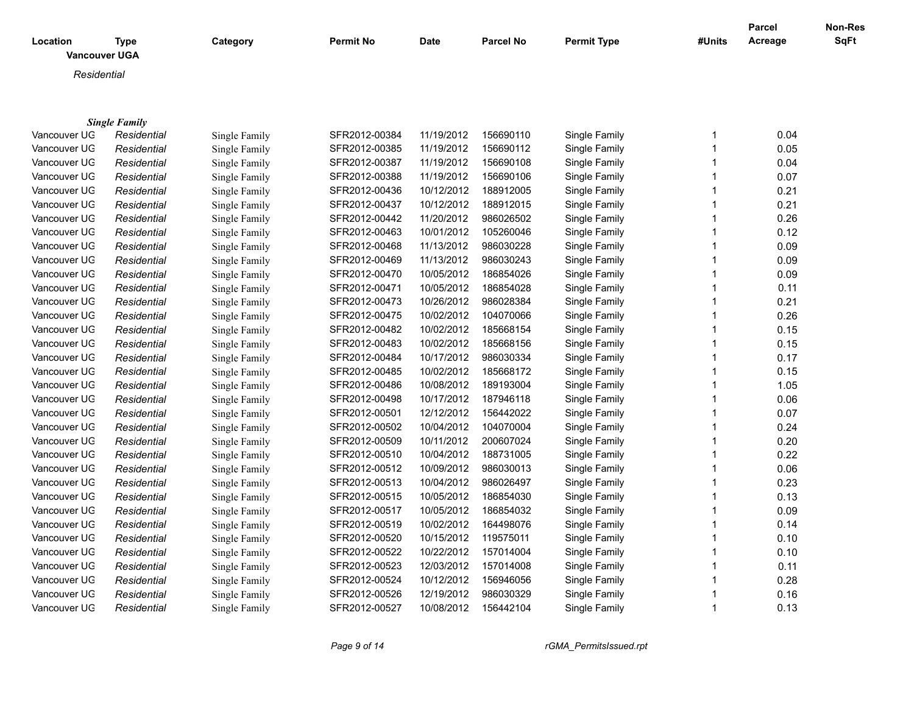| Location<br><b>Vancouver UGA</b> | Type                 | Category      | <b>Permit No</b> | <b>Date</b> | <b>Parcel No</b> | <b>Permit Type</b> | #Units | <b>Parcel</b><br>Acreage | <b>Non-Res</b><br>SqFt |
|----------------------------------|----------------------|---------------|------------------|-------------|------------------|--------------------|--------|--------------------------|------------------------|
| Residential                      |                      |               |                  |             |                  |                    |        |                          |                        |
|                                  |                      |               |                  |             |                  |                    |        |                          |                        |
|                                  | <b>Single Family</b> |               |                  |             |                  |                    |        |                          |                        |
| Vancouver UG                     | Residential          | Single Family | SFR2012-00384    | 11/19/2012  | 156690110        | Single Family      |        | 0.04                     |                        |
| Vancouver UG                     | Residential          | Single Family | SFR2012-00385    | 11/19/2012  | 156690112        | Single Family      |        | 0.05                     |                        |
| Vancouver UG                     | Residential          | Single Family | SFR2012-00387    | 11/19/2012  | 156690108        | Single Family      |        | 0.04                     |                        |
| Vancouver UG                     | Residential          | Single Family | SFR2012-00388    | 11/19/2012  | 156690106        | Single Family      |        | 0.07                     |                        |
| Vancouver UG                     | Residential          | Single Family | SFR2012-00436    | 10/12/2012  | 188912005        | Single Family      |        | 0.21                     |                        |
| Vancouver UG                     | Residential          | Single Family | SFR2012-00437    | 10/12/2012  | 188912015        | Single Family      |        | 0.21                     |                        |
| Vancouver UG                     | Residential          | Single Family | SFR2012-00442    | 11/20/2012  | 986026502        | Single Family      |        | 0.26                     |                        |
| Vancouver UG                     | Residential          | Single Family | SFR2012-00463    | 10/01/2012  | 105260046        | Single Family      |        | 0.12                     |                        |
| Vancouver UG                     | Residential          | Single Family | SFR2012-00468    | 11/13/2012  | 986030228        | Single Family      |        | 0.09                     |                        |
| Vancouver UG                     | Residential          | Single Family | SFR2012-00469    | 11/13/2012  | 986030243        | Single Family      |        | 0.09                     |                        |
| Vancouver UG                     | Residential          | Single Family | SFR2012-00470    | 10/05/2012  | 186854026        | Single Family      |        | 0.09                     |                        |
| Vancouver UG                     | Residential          | Single Family | SFR2012-00471    | 10/05/2012  | 186854028        | Single Family      |        | 0.11                     |                        |
| Vancouver UG                     | Residential          | Single Family | SFR2012-00473    | 10/26/2012  | 986028384        | Single Family      |        | 0.21                     |                        |
| Vancouver UG                     | Residential          | Single Family | SFR2012-00475    | 10/02/2012  | 104070066        | Single Family      |        | 0.26                     |                        |
| Vancouver UG                     | Residential          | Single Family | SFR2012-00482    | 10/02/2012  | 185668154        | Single Family      |        | 0.15                     |                        |
| Vancouver UG                     | Residential          | Single Family | SFR2012-00483    | 10/02/2012  | 185668156        | Single Family      |        | 0.15                     |                        |
| Vancouver UG                     | Residential          | Single Family | SFR2012-00484    | 10/17/2012  | 986030334        | Single Family      |        | 0.17                     |                        |
| Vancouver UG                     | Residential          | Single Family | SFR2012-00485    | 10/02/2012  | 185668172        | Single Family      |        | 0.15                     |                        |
| Vancouver UG                     | Residential          | Single Family | SFR2012-00486    | 10/08/2012  | 189193004        | Single Family      |        | 1.05                     |                        |

Vancouver UGA *Residential* Single Family SFR2012-00498 10/17/2012 187946118 Single Family 1 0.06 Vancouver UGA *Residential* Single Family SFR2012-00501 12/12/2012 156442022 Single Family 1 0.07 Vancouver UGA *Residential* Single Family SFR2012-00502 10/04/2012 104070004 Single Family 1 0.24 Vancouver UGA *Residential* Single Family SFR2012-00509 10/11/2012 200607024 Single Family 1 0.20 Vancouver UGA *Residential* Single Family SFR2012-00510 10/04/2012 188731005 Single Family 1 0.22 Vancouver UGA *Residential* Single Family SFR2012-00512 10/09/2012 986030013 Single Family 1 0.06 Vancouver UGA *Residential* Single Family SFR2012-00513 10/04/2012 986026497 Single Family 1 0.23 Vancouver UG *Residential* Single Family SFR2012-00515 10/05/2012 186854030 Single Family 1 0.13 Vancouver UGA *Residential* Single Family SFR2012-00517 10/05/2012 186854032 Single Family 1 0.09 Vancouver UGA *Residential* Single Family SFR2012-00519 10/02/2012 164498076 Single Family 1 0.14 Vancouver UG *Residential* Single Family SFR2012-00520 10/15/2012 119575011 Single Family 1 0.10 Vancouver UG *Residential* Single Family SFR2012-00522 10/22/2012 157014004 Single Family 1 0.10 Vancouver UG *Residential* Single Family SFR2012-00523 12/03/2012 157014008 Single Family 1 0.11 0.11 Vancouver UGA *Residential* Single Family SFR2012-00524 10/12/2012 156946056 Single Family 1 0.28 Vancouver UGA *Residential* Single Family SFR2012-00526 12/19/2012 986030329 Single Family 1 0.16 Vancouver UG *Residential* Single Family SFR2012-00527 10/08/2012 156442104 Single Family 1 0.13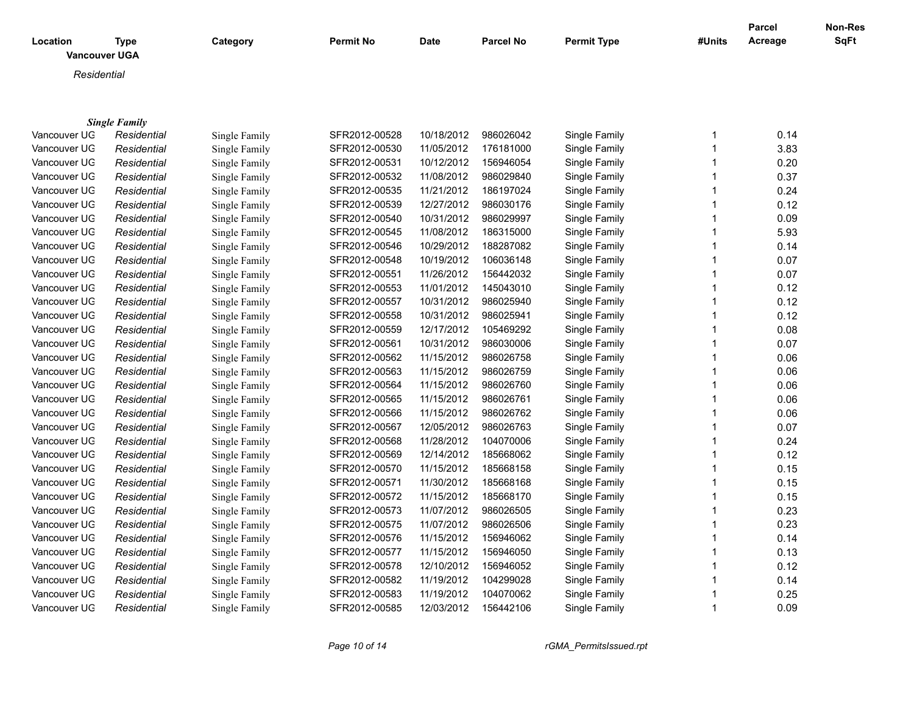| Location<br><b>Vancouver UGA</b> | <b>Type</b>                         | Category      | <b>Permit No</b> | <b>Date</b> | <b>Parcel No</b> | <b>Permit Type</b> | #Units | Parcel<br>Acreage | Non-Res<br><b>SqFt</b> |
|----------------------------------|-------------------------------------|---------------|------------------|-------------|------------------|--------------------|--------|-------------------|------------------------|
| Residential                      |                                     |               |                  |             |                  |                    |        |                   |                        |
|                                  |                                     |               |                  |             |                  |                    |        |                   |                        |
| Vancouver UG                     | <b>Single Family</b><br>Residential | Single Family | SFR2012-00528    | 10/18/2012  | 986026042        | Single Family      | 1      | 0.14              |                        |
| Vancouver UG                     | Residential                         | Single Family | SFR2012-00530    | 11/05/2012  | 176181000        | Single Family      |        | 3.83              |                        |
| Vancouver UG                     | Residential                         | Single Family | SFR2012-00531    | 10/12/2012  | 156946054        | Single Family      |        | 0.20              |                        |
| Vancouver UG                     | Residential                         | Single Family | SFR2012-00532    | 11/08/2012  | 986029840        | Single Family      |        | 0.37              |                        |
| Vancouver UG                     | Residential                         | Single Family | SFR2012-00535    | 11/21/2012  | 186197024        | Single Family      |        | 0.24              |                        |
| Vancouver UG                     | Residential                         | Single Family | SFR2012-00539    | 12/27/2012  | 986030176        | Single Family      |        | 0.12              |                        |
| Vancouver UG                     | Residential                         | Single Family | SFR2012-00540    | 10/31/2012  | 986029997        | Single Family      |        | 0.09              |                        |
| Vancouver UG                     | Residential                         | Single Family | SFR2012-00545    | 11/08/2012  | 186315000        | Single Family      |        | 5.93              |                        |
| Vancouver UG                     | Residential                         | Single Family | SFR2012-00546    | 10/29/2012  | 188287082        | Single Family      |        | 0.14              |                        |
| Vancouver UG                     | Residential                         | Single Family | SFR2012-00548    | 10/19/2012  | 106036148        | Single Family      |        | 0.07              |                        |
| Vancouver UG                     | Residential                         | Single Family | SFR2012-00551    | 11/26/2012  | 156442032        | Single Family      |        | 0.07              |                        |
| Vancouver UG                     | Residential                         | Single Family | SFR2012-00553    | 11/01/2012  | 145043010        | Single Family      |        | 0.12              |                        |
| Vancouver UG                     | Residential                         | Single Family | SFR2012-00557    | 10/31/2012  | 986025940        | Single Family      |        | 0.12              |                        |
| Vancouver UG                     | Residential                         | Single Family | SFR2012-00558    | 10/31/2012  | 986025941        | Single Family      |        | 0.12              |                        |
| Vancouver UG                     | Residential                         | Single Family | SFR2012-00559    | 12/17/2012  | 105469292        | Single Family      |        | 0.08              |                        |
| Vancouver UG                     | Residential                         | Single Family | SFR2012-00561    | 10/31/2012  | 986030006        | Single Family      |        | 0.07              |                        |
| Vancouver UG                     | Residential                         | Single Family | SFR2012-00562    | 11/15/2012  | 986026758        | Single Family      |        | 0.06              |                        |
| Vancouver UG                     | Residential                         | Single Family | SFR2012-00563    | 11/15/2012  | 986026759        | Single Family      |        | 0.06              |                        |
| Vancouver UG                     | Residential                         | Single Family | SFR2012-00564    | 11/15/2012  | 986026760        | Single Family      |        | 0.06              |                        |
| Vancouver UG                     | Residential                         | Single Family | SFR2012-00565    | 11/15/2012  | 986026761        | Single Family      |        | 0.06              |                        |
| Vancouver UG                     | Residential                         | Single Family | SFR2012-00566    | 11/15/2012  | 986026762        | Single Family      |        | 0.06              |                        |
| Vancouver UG                     | Residential                         | Single Family | SFR2012-00567    | 12/05/2012  | 986026763        | Single Family      |        | 0.07              |                        |
| Vancouver UG                     | Residential                         | Single Family | SFR2012-00568    | 11/28/2012  | 104070006        | Single Family      |        | 0.24              |                        |
| Vancouver UG                     | Residential                         | Single Family | SFR2012-00569    | 12/14/2012  | 185668062        | Single Family      |        | 0.12              |                        |
| Vancouver UG                     | Residential                         | Single Family | SFR2012-00570    | 11/15/2012  | 185668158        | Single Family      |        | 0.15              |                        |
| Vancouver UG                     | Residential                         | Single Family | SFR2012-00571    | 11/30/2012  | 185668168        | Single Family      |        | 0.15              |                        |
| Vancouver UG                     | Residential                         | Single Family | SFR2012-00572    | 11/15/2012  | 185668170        | Single Family      |        | 0.15              |                        |

Vancouver UGA *Residential* Single Family SFR2012-00573 11/07/2012 986026505 Single Family 1 0.23 Vancouver UGA *Residential* Single Family SFR2012-00575 11/07/2012 986026506 Single Family 1 0.23 Vancouver UGA *Residential* Single Family SFR2012-00576 11/15/2012 156946062 Single Family 1 0.14 Vancouver UG *Residential* Single Family SFR2012-00577 11/15/2012 156946050 Single Family 1 0.13 Vancouver UGA *Residential* Single Family SFR2012-00578 12/10/2012 156946052 Single Family 1 0.12 Vancouver UGA *Residential* Single Family SFR2012-00582 11/19/2012 104299028 Single Family 1 0.14 Vancouver UGA *Residential* Single Family SFR2012-00583 11/19/2012 104070062 Single Family 1 0.25 Vancouver UGA *Residential* Single Family SFR2012-00585 12/03/2012 156442106 Single Family 1 0.09

*Page 10 of 14 rGMA\_PermitsIssued.rpt*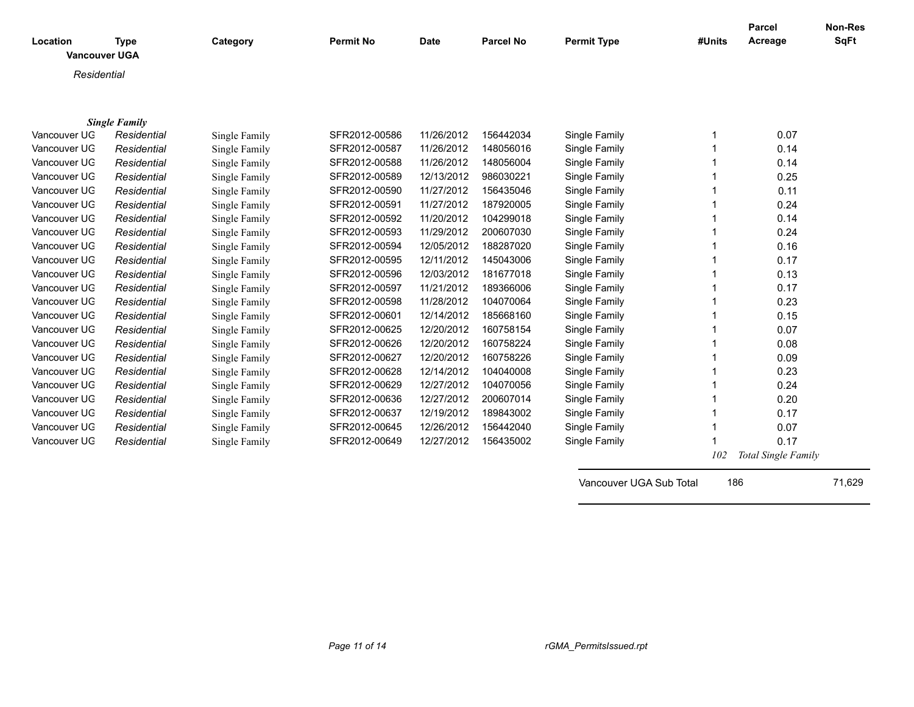| Location<br><b>Vancouver UGA</b> | <b>Type</b>          | Category      | <b>Permit No</b> | <b>Date</b> | <b>Parcel No</b> | <b>Permit Type</b>      | #Units | <b>Parcel</b><br>Acreage | <b>Non-Res</b><br><b>SqFt</b> |
|----------------------------------|----------------------|---------------|------------------|-------------|------------------|-------------------------|--------|--------------------------|-------------------------------|
| Residential                      |                      |               |                  |             |                  |                         |        |                          |                               |
|                                  |                      |               |                  |             |                  |                         |        |                          |                               |
|                                  | <b>Single Family</b> |               |                  |             |                  |                         |        |                          |                               |
| Vancouver UG                     | Residential          | Single Family | SFR2012-00586    | 11/26/2012  | 156442034        | Single Family           |        | 0.07                     |                               |
| Vancouver UG                     | Residential          | Single Family | SFR2012-00587    | 11/26/2012  | 148056016        | Single Family           |        | 0.14                     |                               |
| Vancouver UG                     | Residential          | Single Family | SFR2012-00588    | 11/26/2012  | 148056004        | Single Family           |        | 0.14                     |                               |
| Vancouver UG                     | Residential          | Single Family | SFR2012-00589    | 12/13/2012  | 986030221        | Single Family           |        | 0.25                     |                               |
| Vancouver UG                     | Residential          | Single Family | SFR2012-00590    | 11/27/2012  | 156435046        | Single Family           |        | 0.11                     |                               |
| Vancouver UG                     | Residential          | Single Family | SFR2012-00591    | 11/27/2012  | 187920005        | Single Family           |        | 0.24                     |                               |
| Vancouver UG                     | Residential          | Single Family | SFR2012-00592    | 11/20/2012  | 104299018        | Single Family           |        | 0.14                     |                               |
| Vancouver UG                     | Residential          | Single Family | SFR2012-00593    | 11/29/2012  | 200607030        | Single Family           |        | 0.24                     |                               |
| Vancouver UG                     | Residential          | Single Family | SFR2012-00594    | 12/05/2012  | 188287020        | Single Family           |        | 0.16                     |                               |
| Vancouver UG                     | Residential          | Single Family | SFR2012-00595    | 12/11/2012  | 145043006        | Single Family           |        | 0.17                     |                               |
| Vancouver UG                     | Residential          | Single Family | SFR2012-00596    | 12/03/2012  | 181677018        | Single Family           |        | 0.13                     |                               |
| Vancouver UG                     | Residential          | Single Family | SFR2012-00597    | 11/21/2012  | 189366006        | Single Family           |        | 0.17                     |                               |
| Vancouver UG                     | Residential          | Single Family | SFR2012-00598    | 11/28/2012  | 104070064        | Single Family           |        | 0.23                     |                               |
| Vancouver UG                     | Residential          | Single Family | SFR2012-00601    | 12/14/2012  | 185668160        | Single Family           |        | 0.15                     |                               |
| Vancouver UG                     | Residential          | Single Family | SFR2012-00625    | 12/20/2012  | 160758154        | Single Family           |        | 0.07                     |                               |
| Vancouver UG                     | Residential          | Single Family | SFR2012-00626    | 12/20/2012  | 160758224        | Single Family           |        | 0.08                     |                               |
| Vancouver UG                     | Residential          | Single Family | SFR2012-00627    | 12/20/2012  | 160758226        | Single Family           |        | 0.09                     |                               |
| Vancouver UG                     | Residential          | Single Family | SFR2012-00628    | 12/14/2012  | 104040008        | Single Family           |        | 0.23                     |                               |
| Vancouver UG                     | Residential          | Single Family | SFR2012-00629    | 12/27/2012  | 104070056        | Single Family           |        | 0.24                     |                               |
| Vancouver UG                     | Residential          | Single Family | SFR2012-00636    | 12/27/2012  | 200607014        | Single Family           |        | 0.20                     |                               |
| Vancouver UG                     | Residential          | Single Family | SFR2012-00637    | 12/19/2012  | 189843002        | Single Family           |        | 0.17                     |                               |
| Vancouver UG                     | Residential          | Single Family | SFR2012-00645    | 12/26/2012  | 156442040        | Single Family           |        | 0.07                     |                               |
| Vancouver UG                     | Residential          | Single Family | SFR2012-00649    | 12/27/2012  | 156435002        | Single Family           |        | 0.17                     |                               |
|                                  |                      |               |                  |             |                  |                         | 102    | Total Single Family      |                               |
|                                  |                      |               |                  |             |                  | Vancouver UGA Sub Total | 186    |                          | 71,629                        |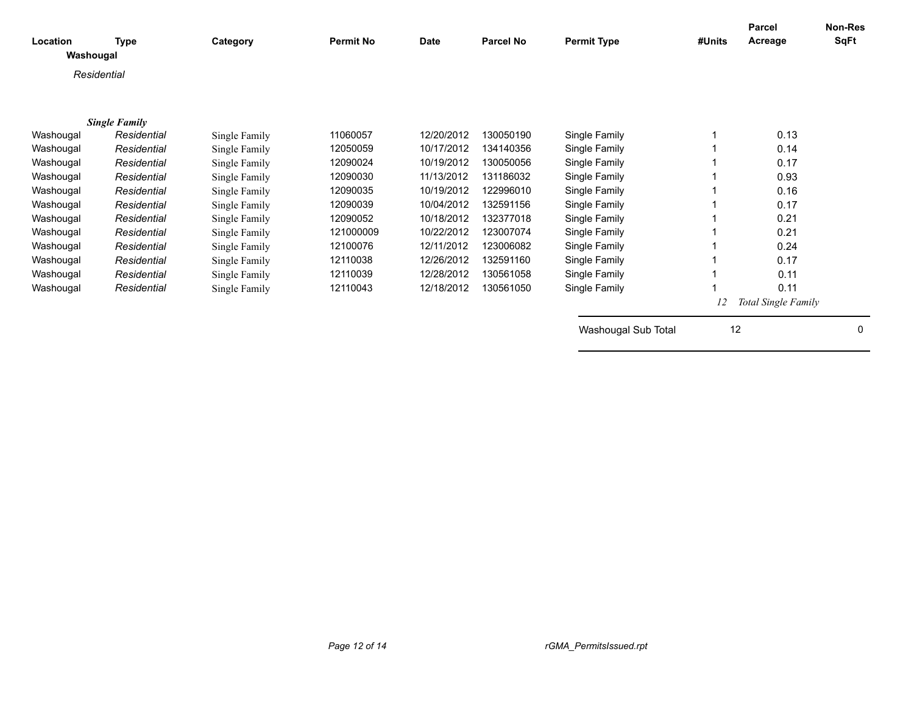| Location<br>Washougal | <b>Type</b>          | Category      | <b>Permit No</b> | <b>Date</b> | <b>Parcel No</b> | <b>Permit Type</b>  | #Units | <b>Parcel</b><br>Acreage | <b>Non-Res</b><br><b>SqFt</b> |
|-----------------------|----------------------|---------------|------------------|-------------|------------------|---------------------|--------|--------------------------|-------------------------------|
|                       | Residential          |               |                  |             |                  |                     |        |                          |                               |
|                       |                      |               |                  |             |                  |                     |        |                          |                               |
|                       | <b>Single Family</b> |               |                  |             |                  |                     |        |                          |                               |
| Washougal             | Residential          | Single Family | 11060057         | 12/20/2012  | 130050190        | Single Family       |        | 0.13                     |                               |
| Washougal             | Residential          | Single Family | 12050059         | 10/17/2012  | 134140356        | Single Family       |        | 0.14                     |                               |
| Washougal             | Residential          | Single Family | 12090024         | 10/19/2012  | 130050056        | Single Family       |        | 0.17                     |                               |
| Washougal             | Residential          | Single Family | 12090030         | 11/13/2012  | 131186032        | Single Family       |        | 0.93                     |                               |
| Washougal             | Residential          | Single Family | 12090035         | 10/19/2012  | 122996010        | Single Family       |        | 0.16                     |                               |
| Washougal             | Residential          | Single Family | 12090039         | 10/04/2012  | 132591156        | Single Family       |        | 0.17                     |                               |
| Washougal             | Residential          | Single Family | 12090052         | 10/18/2012  | 132377018        | Single Family       |        | 0.21                     |                               |
| Washougal             | Residential          | Single Family | 121000009        | 10/22/2012  | 123007074        | Single Family       |        | 0.21                     |                               |
| Washougal             | Residential          | Single Family | 12100076         | 12/11/2012  | 123006082        | Single Family       |        | 0.24                     |                               |
| Washougal             | Residential          | Single Family | 12110038         | 12/26/2012  | 132591160        | Single Family       |        | 0.17                     |                               |
| Washougal             | Residential          | Single Family | 12110039         | 12/28/2012  | 130561058        | Single Family       |        | 0.11                     |                               |
| Washougal             | Residential          | Single Family | 12110043         | 12/18/2012  | 130561050        | Single Family       |        | 0.11                     |                               |
|                       |                      |               |                  |             |                  |                     | 12     | Total Single Family      |                               |
|                       |                      |               |                  |             |                  | Washougal Sub Total | 12     |                          | 0                             |
|                       |                      |               |                  |             |                  |                     |        |                          |                               |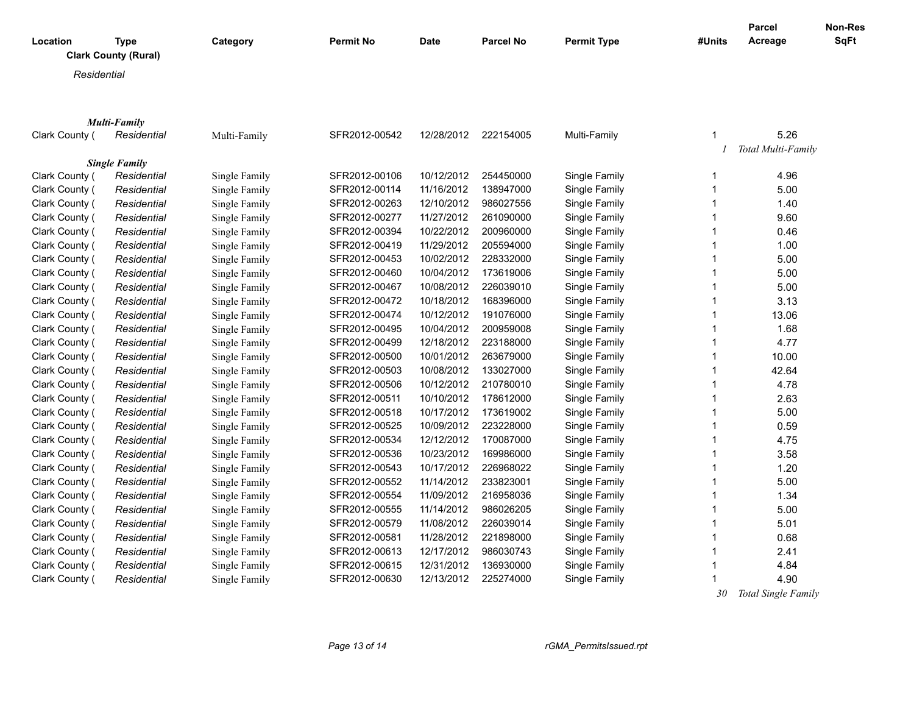|                |                             |               |               |             |                  |                    |              | <b>Parcel</b>       | Non-Res     |
|----------------|-----------------------------|---------------|---------------|-------------|------------------|--------------------|--------------|---------------------|-------------|
| Location       | <b>Type</b>                 | Category      | Permit No     | <b>Date</b> | <b>Parcel No</b> | <b>Permit Type</b> | #Units       | Acreage             | <b>SqFt</b> |
|                | <b>Clark County (Rural)</b> |               |               |             |                  |                    |              |                     |             |
|                | Residential                 |               |               |             |                  |                    |              |                     |             |
|                |                             |               |               |             |                  |                    |              |                     |             |
|                |                             |               |               |             |                  |                    |              |                     |             |
|                | <b>Multi-Family</b>         |               |               |             |                  |                    |              |                     |             |
| Clark County ( | Residential                 | Multi-Family  | SFR2012-00542 | 12/28/2012  | 222154005        | Multi-Family       | $\mathbf 1$  | 5.26                |             |
|                |                             |               |               |             |                  |                    |              | Total Multi-Family  |             |
|                | <b>Single Family</b>        |               |               |             |                  |                    |              |                     |             |
| Clark County ( | Residential                 | Single Family | SFR2012-00106 | 10/12/2012  | 254450000        | Single Family      | 1            | 4.96                |             |
| Clark County ( | Residential                 | Single Family | SFR2012-00114 | 11/16/2012  | 138947000        | Single Family      | $\mathbf 1$  | 5.00                |             |
| Clark County ( | Residential                 | Single Family | SFR2012-00263 | 12/10/2012  | 986027556        | Single Family      | 1            | 1.40                |             |
| Clark County ( | Residential                 | Single Family | SFR2012-00277 | 11/27/2012  | 261090000        | Single Family      | 1            | 9.60                |             |
| Clark County ( | Residential                 | Single Family | SFR2012-00394 | 10/22/2012  | 200960000        | Single Family      | 1            | 0.46                |             |
| Clark County ( | Residential                 | Single Family | SFR2012-00419 | 11/29/2012  | 205594000        | Single Family      | 1            | 1.00                |             |
| Clark County ( | Residential                 | Single Family | SFR2012-00453 | 10/02/2012  | 228332000        | Single Family      | 1            | 5.00                |             |
| Clark County ( | Residential                 | Single Family | SFR2012-00460 | 10/04/2012  | 173619006        | Single Family      | 1            | 5.00                |             |
| Clark County ( | Residential                 | Single Family | SFR2012-00467 | 10/08/2012  | 226039010        | Single Family      | 1            | 5.00                |             |
| Clark County ( | Residential                 | Single Family | SFR2012-00472 | 10/18/2012  | 168396000        | Single Family      | 1            | 3.13                |             |
| Clark County ( | Residential                 | Single Family | SFR2012-00474 | 10/12/2012  | 191076000        | Single Family      | 1            | 13.06               |             |
| Clark County ( | Residential                 | Single Family | SFR2012-00495 | 10/04/2012  | 200959008        | Single Family      | $\mathbf{1}$ | 1.68                |             |
| Clark County ( | Residential                 | Single Family | SFR2012-00499 | 12/18/2012  | 223188000        | Single Family      | 1            | 4.77                |             |
| Clark County ( | Residential                 | Single Family | SFR2012-00500 | 10/01/2012  | 263679000        | Single Family      | 1            | 10.00               |             |
| Clark County ( | Residential                 | Single Family | SFR2012-00503 | 10/08/2012  | 133027000        | Single Family      | 1            | 42.64               |             |
| Clark County ( | Residential                 | Single Family | SFR2012-00506 | 10/12/2012  | 210780010        | Single Family      | $\mathbf{1}$ | 4.78                |             |
| Clark County ( | Residential                 | Single Family | SFR2012-00511 | 10/10/2012  | 178612000        | Single Family      | $\mathbf{1}$ | 2.63                |             |
| Clark County ( | Residential                 | Single Family | SFR2012-00518 | 10/17/2012  | 173619002        | Single Family      | $\mathbf{1}$ | 5.00                |             |
| Clark County ( | Residential                 | Single Family | SFR2012-00525 | 10/09/2012  | 223228000        | Single Family      | $\mathbf{1}$ | 0.59                |             |
| Clark County ( | Residential                 | Single Family | SFR2012-00534 | 12/12/2012  | 170087000        | Single Family      | $\mathbf{1}$ | 4.75                |             |
| Clark County ( | Residential                 | Single Family | SFR2012-00536 | 10/23/2012  | 169986000        | Single Family      | $\mathbf{1}$ | 3.58                |             |
| Clark County ( | Residential                 | Single Family | SFR2012-00543 | 10/17/2012  | 226968022        | Single Family      | $\mathbf{1}$ | 1.20                |             |
| Clark County ( | Residential                 | Single Family | SFR2012-00552 | 11/14/2012  | 233823001        | Single Family      | $\mathbf{1}$ | 5.00                |             |
| Clark County ( | Residential                 | Single Family | SFR2012-00554 | 11/09/2012  | 216958036        | Single Family      | $\mathbf{1}$ | 1.34                |             |
| Clark County ( | Residential                 | Single Family | SFR2012-00555 | 11/14/2012  | 986026205        | Single Family      | $\mathbf{1}$ | 5.00                |             |
| Clark County ( | Residential                 | Single Family | SFR2012-00579 | 11/08/2012  | 226039014        | Single Family      | $\mathbf{1}$ | 5.01                |             |
| Clark County ( | Residential                 | Single Family | SFR2012-00581 | 11/28/2012  | 221898000        | Single Family      | $\mathbf{1}$ | 0.68                |             |
| Clark County ( | Residential                 | Single Family | SFR2012-00613 | 12/17/2012  | 986030743        | Single Family      | $\mathbf{1}$ | 2.41                |             |
| Clark County ( | Residential                 | Single Family | SFR2012-00615 | 12/31/2012  | 136930000        | Single Family      | $\mathbf{1}$ | 4.84                |             |
| Clark County ( | Residential                 | Single Family | SFR2012-00630 | 12/13/2012  | 225274000        | Single Family      | $\mathbf{1}$ | 4.90                |             |
|                |                             |               |               |             |                  |                    | 20           | Total Single Family |             |

 *30 Total Single Family*